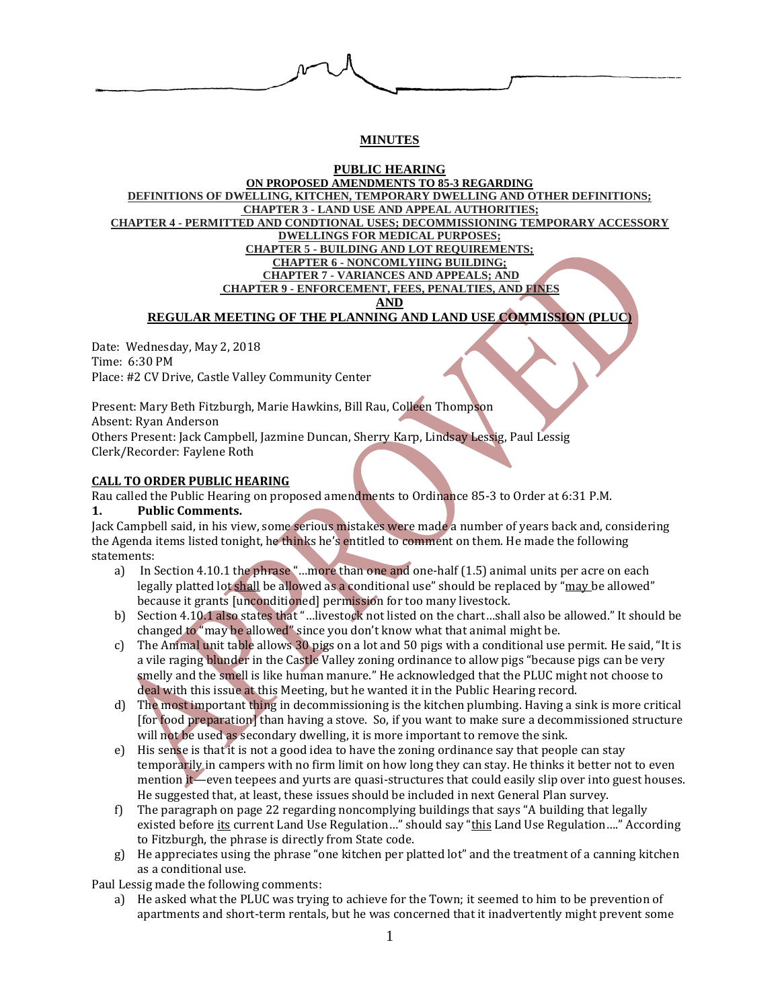

# **MINUTES**

#### **PUBLIC HEARING ON PROPOSED AMENDMENTS TO 85-3 REGARDING DEFINITIONS OF DWELLING, KITCHEN, TEMPORARY DWELLING AND OTHER DEFINITIONS; CHAPTER 3 - LAND USE AND APPEAL AUTHORITIES; CHAPTER 4 - PERMITTED AND CONDTIONAL USES; DECOMMISSIONING TEMPORARY ACCESSORY DWELLINGS FOR MEDICAL PURPOSES; CHAPTER 5 - BUILDING AND LOT REQUIREMENTS; CHAPTER 6 - NONCOMLYIING BUILDING; CHAPTER 7 - VARIANCES AND APPEALS; AND CHAPTER 9 - ENFORCEMENT, FEES, PENALTIES, AND**

## **REGULAR MEETING OF THE PLANNING AND LAND USE COMMISSION (PLUC)**

Date: Wednesday, May 2, 2018 Time: 6:30 PM Place: #2 CV Drive, Castle Valley Community Center

Present: Mary Beth Fitzburgh, Marie Hawkins, Bill Rau, Colleen Thompson Absent: Ryan Anderson Others Present: Jack Campbell, Jazmine Duncan, Sherry Karp, Lindsay Lessig, Paul Lessig Clerk/Recorder: Faylene Roth

## **CALL TO ORDER PUBLIC HEARING**

Rau called the Public Hearing on proposed amendments to Ordinance 85-3 to Order at 6:31 P.M.

## **1. Public Comments.**

Jack Campbell said, in his view, some serious mistakes were made a number of years back and, considering the Agenda items listed tonight, he thinks he's entitled to comment on them. He made the following statements:

- a) In Section 4.10.1 the phrase "…more than one and one-half (1.5) animal units per acre on each legally platted lot shall be allowed as a conditional use" should be replaced by "may be allowed" because it grants [unconditioned] permission for too many livestock.
- b) Section 4.10.1 also states that "…livestock not listed on the chart…shall also be allowed." It should be changed to "may be allowed" since you don't know what that animal might be.
- c) The Animal unit table allows 30 pigs on a lot and 50 pigs with a conditional use permit. He said, "It is a vile raging blunder in the Castle Valley zoning ordinance to allow pigs "because pigs can be very smelly and the smell is like human manure." He acknowledged that the PLUC might not choose to deal with this issue at this Meeting, but he wanted it in the Public Hearing record.
- d) The most important thing in decommissioning is the kitchen plumbing. Having a sink is more critical [for food preparation] than having a stove. So, if you want to make sure a decommissioned structure will not be used as secondary dwelling, it is more important to remove the sink.
- e) His sense is that it is not a good idea to have the zoning ordinance say that people can stay temporarily in campers with no firm limit on how long they can stay. He thinks it better not to even mention it—even teepees and yurts are quasi-structures that could easily slip over into guest houses. He suggested that, at least, these issues should be included in next General Plan survey.
- f) The paragraph on page 22 regarding noncomplying buildings that says "A building that legally existed before its current Land Use Regulation..." should say "this Land Use Regulation...." According to Fitzburgh, the phrase is directly from State code.
- g) He appreciates using the phrase "one kitchen per platted lot" and the treatment of a canning kitchen as a conditional use.

Paul Lessig made the following comments:

a) He asked what the PLUC was trying to achieve for the Town; it seemed to him to be prevention of apartments and short-term rentals, but he was concerned that it inadvertently might prevent some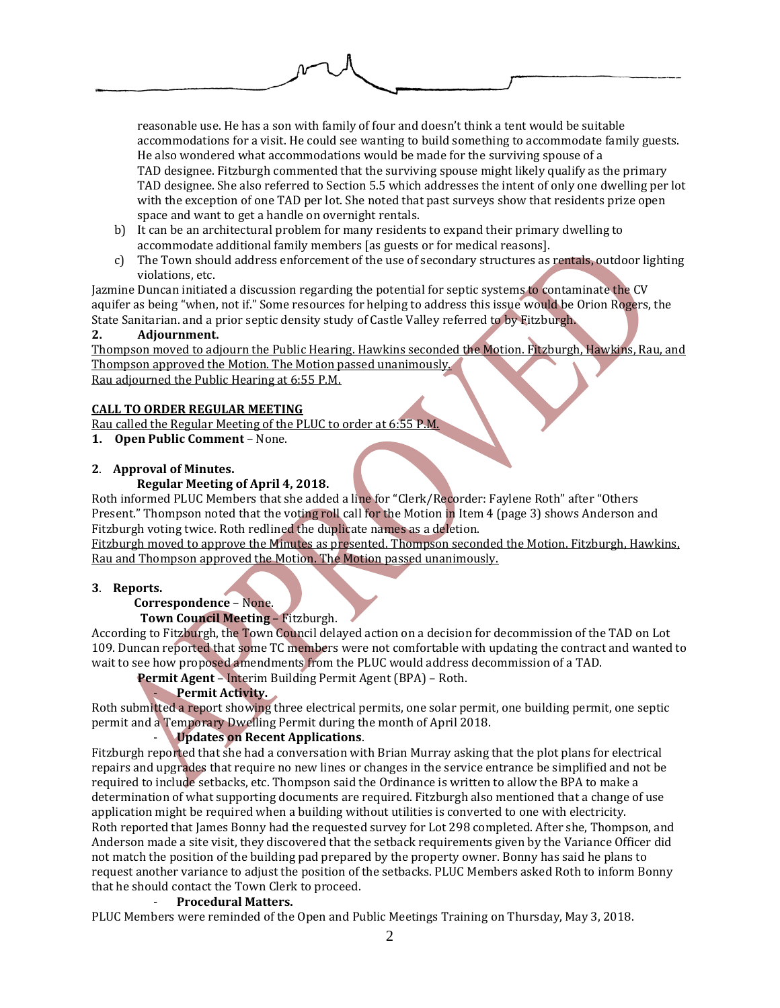

reasonable use. He has a son with family of four and doesn't think a tent would be suitable accommodations for a visit. He could see wanting to build something to accommodate family guests. He also wondered what accommodations would be made for the surviving spouse of a TAD designee. Fitzburgh commented that the surviving spouse might likely qualify as the primary TAD designee. She also referred to Section 5.5 which addresses the intent of only one dwelling per lot with the exception of one TAD per lot. She noted that past surveys show that residents prize open space and want to get a handle on overnight rentals.

- b) It can be an architectural problem for many residents to expand their primary dwelling to accommodate additional family members [as guests or for medical reasons].
- c) The Town should address enforcement of the use of secondary structures as rentals, outdoor lighting violations, etc.

Jazmine Duncan initiated a discussion regarding the potential for septic systems to contaminate the CV aquifer as being "when, not if." Some resources for helping to address this issue would be Orion Rogers, the State Sanitarian. and a prior septic density study of Castle Valley referred to by Fitzburgh.

## **2. Adjournment.**

Thompson moved to adjourn the Public Hearing. Hawkins seconded the Motion. Fitzburgh, Hawkins, Rau, and Thompson approved the Motion. The Motion passed unanimously. Rau adjourned the Public Hearing at 6:55 P.M.

## **CALL TO ORDER REGULAR MEETING**

Rau called the Regular Meeting of the PLUC to order at 6:55 P.M.

**1. Open Public Comment** – None.

## **2**. **Approval of Minutes.**

## **Regular Meeting of April 4, 2018.**

Roth informed PLUC Members that she added a line for "Clerk/Recorder: Faylene Roth" after "Others Present." Thompson noted that the voting roll call for the Motion in Item 4 (page 3) shows Anderson and Fitzburgh voting twice. Roth redlined the duplicate names as a deletion.

Fitzburgh moved to approve the Minutes as presented. Thompson seconded the Motion. Fitzburgh, Hawkins, Rau and Thompson approved the Motion. The Motion passed unanimously.

## **3**. **Reports.**

# **Correspondence** – None.

## **Town Council Meeting** – Fitzburgh.

According to Fitzburgh, the Town Council delayed action on a decision for decommission of the TAD on Lot 109. Duncan reported that some TC members were not comfortable with updating the contract and wanted to wait to see how proposed amendments from the PLUC would address decommission of a TAD.

**Permit Agent** – Interim Building Permit Agent (BPA) – Roth.

# - **Permit Activity.**

Roth submitted a report showing three electrical permits, one solar permit, one building permit, one septic permit and a Temporary Dwelling Permit during the month of April 2018.

## - **Updates on Recent Applications**.

Fitzburgh reported that she had a conversation with Brian Murray asking that the plot plans for electrical repairs and upgrades that require no new lines or changes in the service entrance be simplified and not be required to include setbacks, etc. Thompson said the Ordinance is written to allow the BPA to make a determination of what supporting documents are required. Fitzburgh also mentioned that a change of use application might be required when a building without utilities is converted to one with electricity. Roth reported that James Bonny had the requested survey for Lot 298 completed. After she, Thompson, and Anderson made a site visit, they discovered that the setback requirements given by the Variance Officer did not match the position of the building pad prepared by the property owner. Bonny has said he plans to request another variance to adjust the position of the setbacks. PLUC Members asked Roth to inform Bonny that he should contact the Town Clerk to proceed.

## - **Procedural Matters.**

PLUC Members were reminded of the Open and Public Meetings Training on Thursday, May 3, 2018.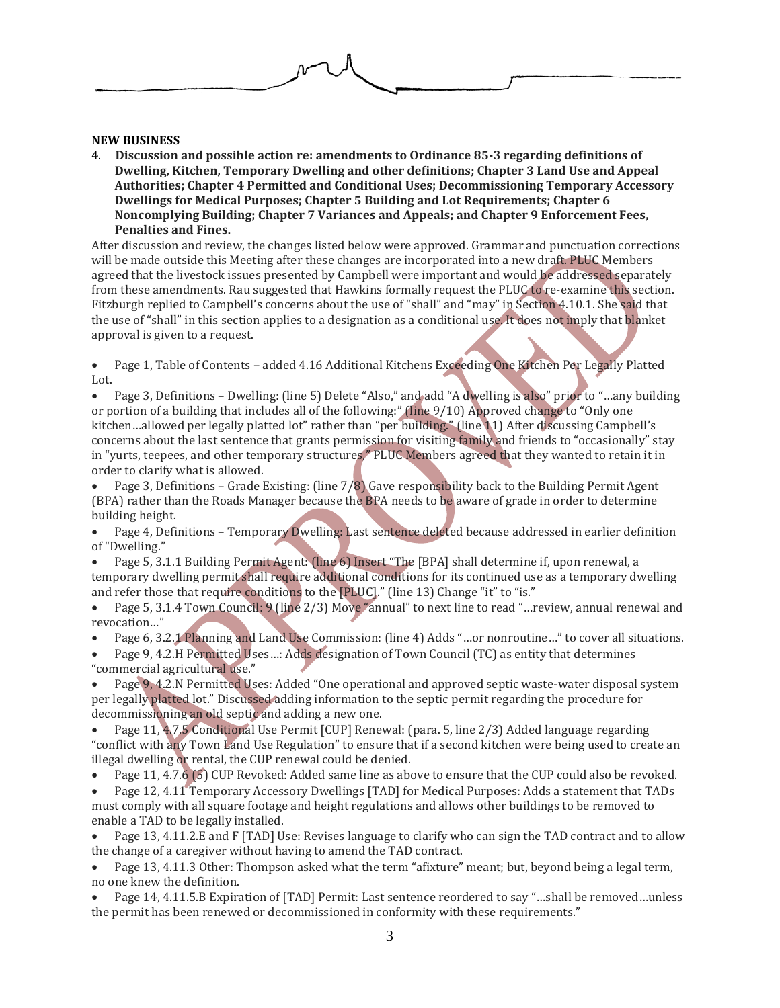

#### **NEW BUSINESS**

4. **Discussion and possible action re: amendments to Ordinance 85-3 regarding definitions of Dwelling, Kitchen, Temporary Dwelling and other definitions; Chapter 3 Land Use and Appeal Authorities; Chapter 4 Permitted and Conditional Uses; Decommissioning Temporary Accessory Dwellings for Medical Purposes; Chapter 5 Building and Lot Requirements; Chapter 6 Noncomplying Building; Chapter 7 Variances and Appeals; and Chapter 9 Enforcement Fees, Penalties and Fines.**

After discussion and review, the changes listed below were approved. Grammar and punctuation corrections will be made outside this Meeting after these changes are incorporated into a new draft. PLUC Members agreed that the livestock issues presented by Campbell were important and would be addressed separately from these amendments. Rau suggested that Hawkins formally request the PLUC to re-examine this section. Fitzburgh replied to Campbell's concerns about the use of "shall" and "may" in Section 4.10.1. She said that the use of "shall" in this section applies to a designation as a conditional use. It does not imply that blanket approval is given to a request.

 Page 1, Table of Contents – added 4.16 Additional Kitchens Exceeding One Kitchen Per Legally Platted Lot.

 Page 3, Definitions – Dwelling: (line 5) Delete "Also," and add "A dwelling is also" prior to "…any building or portion of a building that includes all of the following:" (line 9/10) Approved change to "Only one kitchen…allowed per legally platted lot" rather than "per building." (line 11) After discussing Campbell's concerns about the last sentence that grants permission for visiting family and friends to "occasionally" stay in "yurts, teepees, and other temporary structures," PLUC Members agreed that they wanted to retain it in order to clarify what is allowed.

 Page 3, Definitions – Grade Existing: (line 7/8) Gave responsibility back to the Building Permit Agent (BPA) rather than the Roads Manager because the BPA needs to be aware of grade in order to determine building height.

 Page 4, Definitions – Temporary Dwelling: Last sentence deleted because addressed in earlier definition of "Dwelling."

 Page 5, 3.1.1 Building Permit Agent: (line 6) Insert "The [BPA] shall determine if, upon renewal, a temporary dwelling permit shall require additional conditions for its continued use as a temporary dwelling and refer those that require conditions to the [PLUC]." (line 13) Change "it" to "is."

 Page 5, 3.1.4 Town Council: 9 (line 2/3) Move "annual" to next line to read "…review, annual renewal and revocation…"

Page 6, 3.2.1 Planning and Land Use Commission: (line 4) Adds "…or nonroutine…" to cover all situations.

 Page 9, 4.2.H Permitted Uses…: Adds designation of Town Council (TC) as entity that determines "commercial agricultural use."

 Page 9, 4.2.N Permitted Uses: Added "One operational and approved septic waste-water disposal system per legally platted lot." Discussed adding information to the septic permit regarding the procedure for decommissioning an old septic and adding a new one.

 Page 11, 4.7.5 Conditional Use Permit [CUP] Renewal: (para. 5, line 2/3) Added language regarding "conflict with any Town Land Use Regulation" to ensure that if a second kitchen were being used to create an illegal dwelling or rental, the CUP renewal could be denied.

• Page 11, 4.7.6 (5) CUP Revoked: Added same line as above to ensure that the CUP could also be revoked.

 Page 12, 4.11 Temporary Accessory Dwellings [TAD] for Medical Purposes: Adds a statement that TADs must comply with all square footage and height regulations and allows other buildings to be removed to enable a TAD to be legally installed.

 Page 13, 4.11.2.E and F [TAD] Use: Revises language to clarify who can sign the TAD contract and to allow the change of a caregiver without having to amend the TAD contract.

 Page 13, 4.11.3 Other: Thompson asked what the term "afixture" meant; but, beyond being a legal term, no one knew the definition.

 Page 14, 4.11.5.B Expiration of [TAD] Permit: Last sentence reordered to say "…shall be removed…unless the permit has been renewed or decommissioned in conformity with these requirements."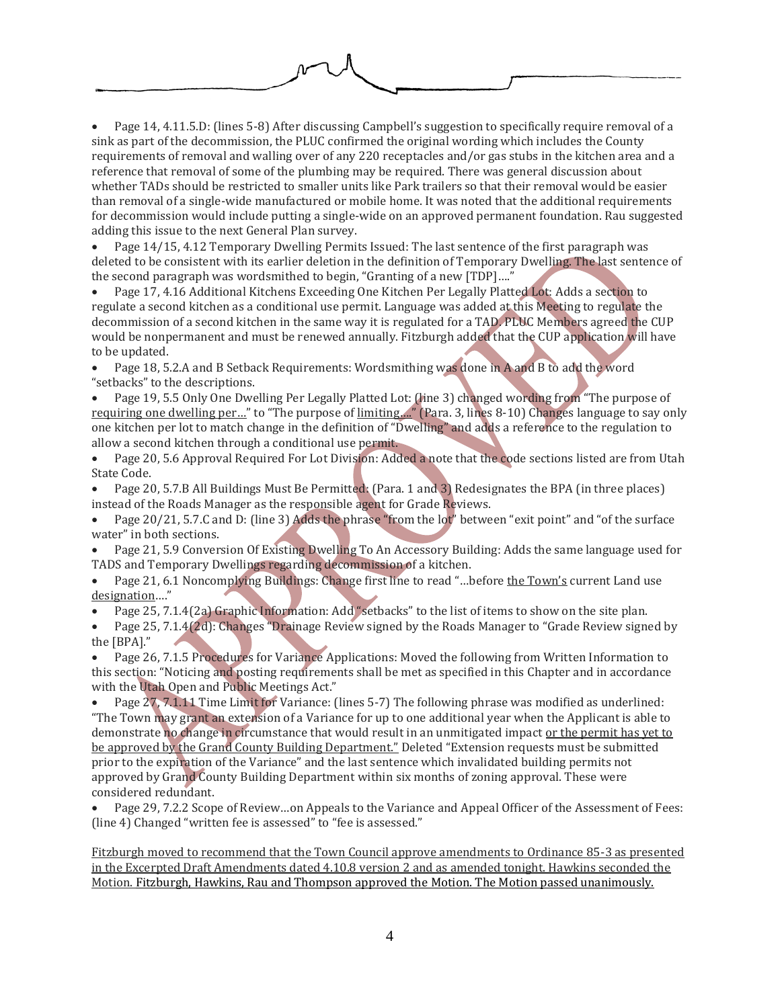

 Page 14, 4.11.5.D: (lines 5-8) After discussing Campbell's suggestion to specifically require removal of a sink as part of the decommission, the PLUC confirmed the original wording which includes the County requirements of removal and walling over of any 220 receptacles and/or gas stubs in the kitchen area and a reference that removal of some of the plumbing may be required. There was general discussion about whether TADs should be restricted to smaller units like Park trailers so that their removal would be easier than removal of a single-wide manufactured or mobile home. It was noted that the additional requirements for decommission would include putting a single-wide on an approved permanent foundation. Rau suggested adding this issue to the next General Plan survey.

 Page 14/15, 4.12 Temporary Dwelling Permits Issued: The last sentence of the first paragraph was deleted to be consistent with its earlier deletion in the definition of Temporary Dwelling. The last sentence of the second paragraph was wordsmithed to begin, "Granting of a new [TDP]…."

 Page 17, 4.16 Additional Kitchens Exceeding One Kitchen Per Legally Platted Lot: Adds a section to regulate a second kitchen as a conditional use permit. Language was added at this Meeting to regulate the decommission of a second kitchen in the same way it is regulated for a TAD. PLUC Members agreed the CUP would be nonpermanent and must be renewed annually. Fitzburgh added that the CUP application will have to be updated.

 Page 18, 5.2.A and B Setback Requirements: Wordsmithing was done in A and B to add the word "setbacks" to the descriptions.

 Page 19, 5.5 Only One Dwelling Per Legally Platted Lot: (line 3) changed wording from "The purpose of requiring one dwelling per…" to "The purpose of limiting…." (Para. 3, lines 8-10) Changes language to say only one kitchen per lot to match change in the definition of "Dwelling" and adds a reference to the regulation to allow a second kitchen through a conditional use permit.

 Page 20, 5.6 Approval Required For Lot Division: Added a note that the code sections listed are from Utah State Code.

 Page 20, 5.7.B All Buildings Must Be Permitted: (Para. 1 and 3) Redesignates the BPA (in three places) instead of the Roads Manager as the responsible agent for Grade Reviews.

 Page 20/21, 5.7.C and D: (line 3) Adds the phrase "from the lot" between "exit point" and "of the surface water" in both sections.

 Page 21, 5.9 Conversion Of Existing Dwelling To An Accessory Building: Adds the same language used for TADS and Temporary Dwellings regarding decommission of a kitchen.

 Page 21, 6.1 Noncomplying Buildings: Change first line to read "…before the Town's current Land use designation…."

Page 25, 7.1.4(2a) Graphic Information: Add "setbacks" to the list of items to show on the site plan.

 Page 25, 7.1.4(2d): Changes "Drainage Review signed by the Roads Manager to "Grade Review signed by the [BPA]."

 Page 26, 7.1.5 Procedures for Variance Applications: Moved the following from Written Information to this section: "Noticing and posting requirements shall be met as specified in this Chapter and in accordance with the Utah Open and Public Meetings Act."

 Page 27, 7.1.11 Time Limit for Variance: (lines 5-7) The following phrase was modified as underlined: "The Town may grant an extension of a Variance for up to one additional year when the Applicant is able to demonstrate no change in circumstance that would result in an unmitigated impact or the permit has yet to be approved by the Grand County Building Department." Deleted "Extension requests must be submitted prior to the expiration of the Variance" and the last sentence which invalidated building permits not approved by Grand County Building Department within six months of zoning approval. These were considered redundant.

 Page 29, 7.2.2 Scope of Review…on Appeals to the Variance and Appeal Officer of the Assessment of Fees: (line 4) Changed "written fee is assessed" to "fee is assessed."

Fitzburgh moved to recommend that the Town Council approve amendments to Ordinance 85-3 as presented in the Excerpted Draft Amendments dated 4.10.8 version 2 and as amended tonight. Hawkins seconded the Motion. Fitzburgh, Hawkins, Rau and Thompson approved the Motion. The Motion passed unanimously.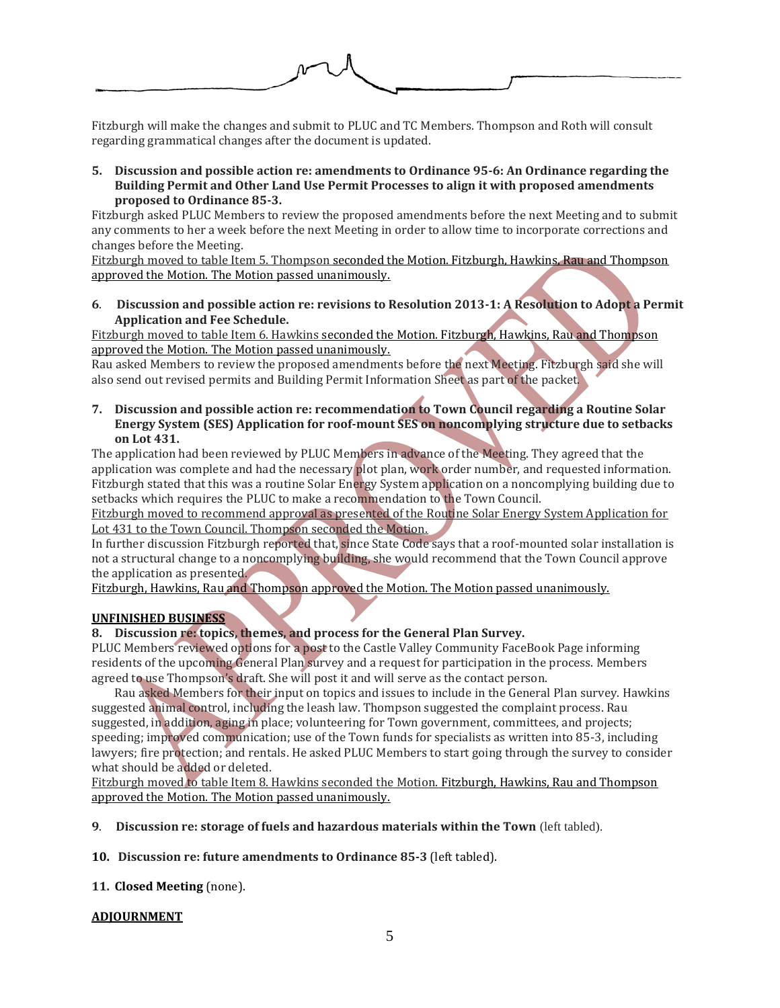

Fitzburgh will make the changes and submit to PLUC and TC Members. Thompson and Roth will consult regarding grammatical changes after the document is updated.

**5. Discussion and possible action re: amendments to Ordinance 95-6: An Ordinance regarding the Building Permit and Other Land Use Permit Processes to align it with proposed amendments proposed to Ordinance 85-3.**

Fitzburgh asked PLUC Members to review the proposed amendments before the next Meeting and to submit any comments to her a week before the next Meeting in order to allow time to incorporate corrections and changes before the Meeting.

Fitzburgh moved to table Item 5. Thompson seconded the Motion. Fitzburgh, Hawkins, Rau and Thompson approved the Motion. The Motion passed unanimously.

**6**. **Discussion and possible action re: revisions to Resolution 2013-1: A Resolution to Adopt a Permit Application and Fee Schedule.**

Fitzburgh moved to table Item 6. Hawkins seconded the Motion. Fitzburgh, Hawkins, Rau and Thompson approved the Motion. The Motion passed unanimously.

Rau asked Members to review the proposed amendments before the next Meeting. Fitzburgh said she will also send out revised permits and Building Permit Information Sheet as part of the packet.

**7. Discussion and possible action re: recommendation to Town Council regarding a Routine Solar Energy System (SES) Application for roof-mount SES on noncomplying structure due to setbacks on Lot 431.**

The application had been reviewed by PLUC Members in advance of the Meeting. They agreed that the application was complete and had the necessary plot plan, work order number, and requested information. Fitzburgh stated that this was a routine Solar Energy System application on a noncomplying building due to setbacks which requires the PLUC to make a recommendation to the Town Council.

Fitzburgh moved to recommend approval as presented of the Routine Solar Energy System Application for Lot 431 to the Town Council. Thompson seconded the Motion.

In further discussion Fitzburgh reported that, since State Code says that a roof-mounted solar installation is not a structural change to a noncomplying building, she would recommend that the Town Council approve the application as presented.

Fitzburgh, Hawkins, Rau and Thompson approved the Motion. The Motion passed unanimously.

## **UNFINISHED BUSINESS**

## **8. Discussion re: topics, themes, and process for the General Plan Survey.**

PLUC Members reviewed options for a post to the Castle Valley Community FaceBook Page informing residents of the upcoming General Plan survey and a request for participation in the process. Members agreed to use Thompson's draft. She will post it and will serve as the contact person.

Rau asked Members for their input on topics and issues to include in the General Plan survey. Hawkins suggested animal control, including the leash law. Thompson suggested the complaint process. Rau suggested, in addition, aging in place; volunteering for Town government, committees, and projects; speeding; improved communication; use of the Town funds for specialists as written into 85-3, including lawyers; fire protection; and rentals. He asked PLUC Members to start going through the survey to consider what should be added or deleted.

Fitzburgh moved to table Item 8. Hawkins seconded the Motion. Fitzburgh, Hawkins, Rau and Thompson approved the Motion. The Motion passed unanimously.

**9**. **Discussion re: storage of fuels and hazardous materials within the Town** (left tabled).

**10. Discussion re: future amendments to Ordinance 85-3** (left tabled).

**11. Closed Meeting** (none).

## **ADJOURNMENT**